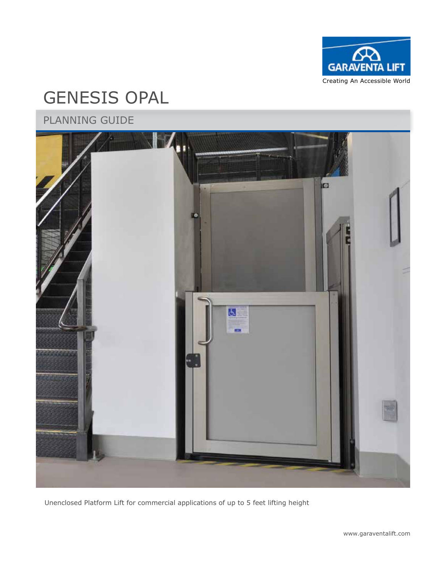

# GENESIS OPAL

## PLANNING GUIDE



Unenclosed Platform Lift for commercial applications of up to 5 feet lifting height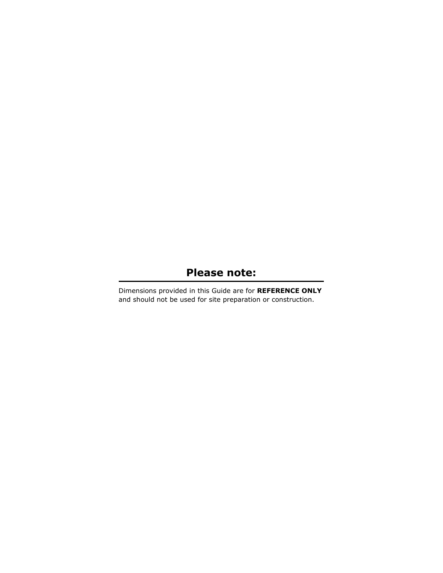### **Please note:**

Dimensions provided in this Guide are for **REFERENCE ONLY** and should not be used for site preparation or construction.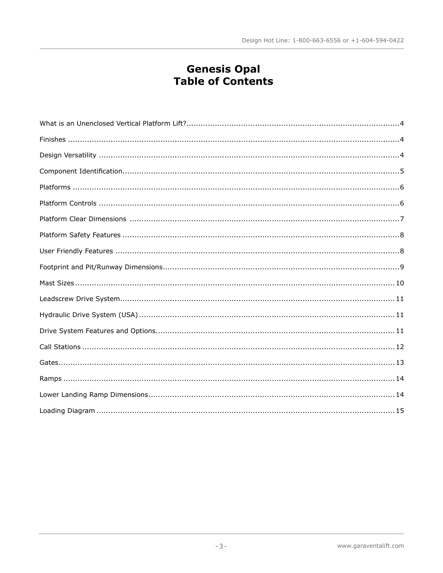# **Genesis Opal**<br>Table of Contents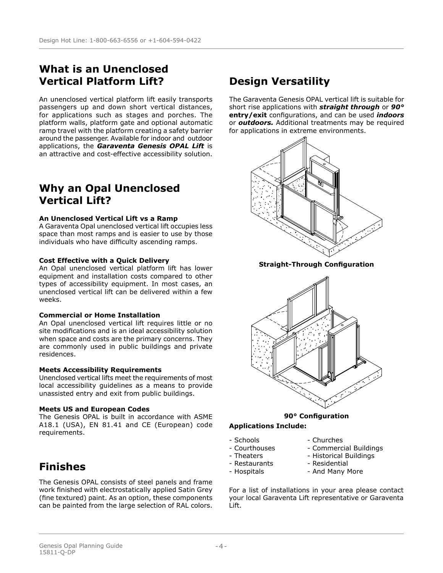### **What is an Unenclosed Vertical Platform Lift?**

An unenclosed vertical platform lift easily transports passengers up and down short vertical distances, for applications such as stages and porches. The platform walls, platform gate and optional automatic ramp travel with the platform creating a safety barrier around the passenger. Available for indoor and outdoor applications, the *Garaventa Genesis OPAL Lift* is an attractive and cost-effective accessibility solution.

### **Why an Opal Unenclosed Vertical Lift?**

#### **An Unenclosed Vertical Lift vs a Ramp**

A Garaventa Opal unenclosed vertical lift occupies less space than most ramps and is easier to use by those individuals who have difficulty ascending ramps.

#### **Cost Effective with a Quick Delivery**

An Opal unenclosed vertical platform lift has lower equipment and installation costs compared to other types of accessibility equipment. In most cases, an unenclosed vertical lift can be delivered within a few weeks.

#### **Commercial or Home Installation**

An Opal unenclosed vertical lift requires little or no site modifications and is an ideal accessibility solution when space and costs are the primary concerns. They are commonly used in public buildings and private residences.

#### **Meets Accessibility Requirements**

Unenclosed vertical lifts meet the requirements of most local accessibility guidelines as a means to provide unassisted entry and exit from public buildings.

#### **Meets US and European Codes**

The Genesis OPAL is built in accordance with ASME A18.1 (USA), EN 81.41 and CE (European) code requirements.

### **Finishes**

The Genesis OPAL consists of steel panels and frame work finished with electrostatically applied Satin Grey (fine textured) paint. As an option, these components can be painted from the large selection of RAL colors.

### **Design Versatility**

The Garaventa Genesis OPAL vertical lift is suitable for short rise applications with *straight through* or *90°* **entry/exit** configurations, and can be used *indoors*  or *outdoors.* Additional treatments may be required for applications in extreme environments.



**Straight-Through Configuration**



#### **90° Configuration**

### **Applications Include:**

- 
- Schools - Churches<br>- Courthouses Commerci
- Courthouses Commercial Buildings<br>- Theaters Historical Buildings - Historical Buildings
	-
- 
- Restaurants Residential
- 
- Hospitals And Many More

For a list of installations in your area please contact your local Garaventa Lift representative or Garaventa Lift.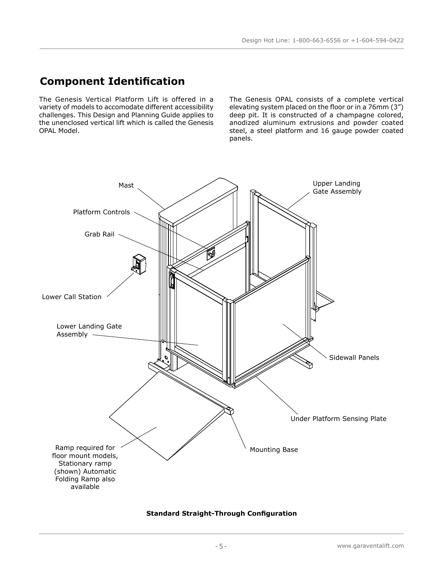### **Component Identification**

The Genesis Vertical Platform Lift is offered in a variety of models to accomodate different accessibility challenges. This Design and Planning Guide applies to the unenclosed vertical lift which is called the Genesis OPAL Model.

The Genesis OPAL consists of a complete vertical elevating system placed on the floor or in a 76mm (3") deep pit. It is constructed of a champagne colored, anodized aluminum extrusions and powder coated steel, a steel platform and 16 gauge powder coated panels.



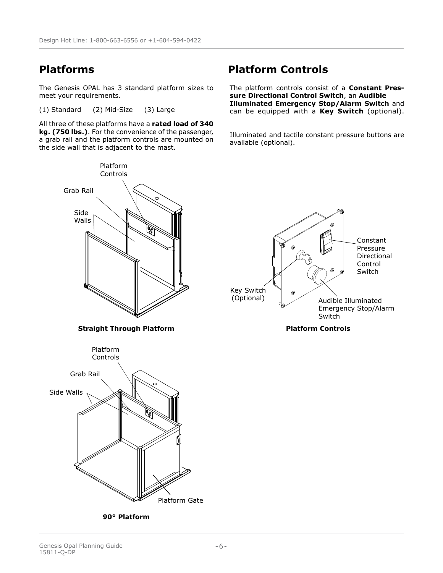The Genesis OPAL has 3 standard platform sizes to meet your requirements.

(1) Standard (2) Mid-Size (3) Large

Platform

All three of these platforms have a **rated load of 340 kg. (750 lbs.)**. For the convenience of the passenger, a grab rail and the platform controls are mounted on the side wall that is adjacent to the mast.

### **Platforms Platform Controls**

The platform controls consist of a **Constant Pressure Directional Control Switch**, an **Audible Illuminated Emergency Stop/Alarm Switch** and can be equipped with a **Key Switch** (optional).

Illuminated and tactile constant pressure buttons are available (optional).



**90° Platform**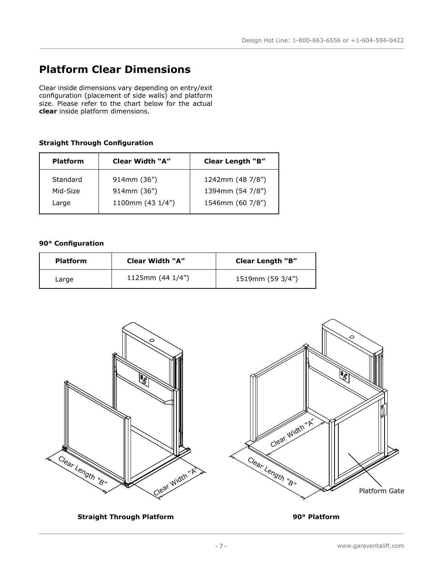### **Platform Clear Dimensions**

Clear inside dimensions vary depending on entry/exit configuration (placement of side walls) and platform size. Please refer to the chart below for the actual **clear** inside platform dimensions.

### **Straight Through Configuration**

| Clear Width "A"<br><b>Platform</b> |                  | <b>Clear Length "B"</b> |
|------------------------------------|------------------|-------------------------|
| Standard                           | 914mm (36")      | 1242mm (48 7/8")        |
| Mid-Size                           | 914mm (36")      | 1394mm (54 7/8")        |
| Large                              | 1100mm (43 1/4") | 1546mm (60 7/8")        |

#### **90° Configuration**

| <b>Platform</b> | Clear Width "A"       | Clear Length "B" |
|-----------------|-----------------------|------------------|
| Large           | 1125mm $(44 \; 1/4")$ | 1519mm (59 3/4") |



**Straight Through Platform 90° Platform**

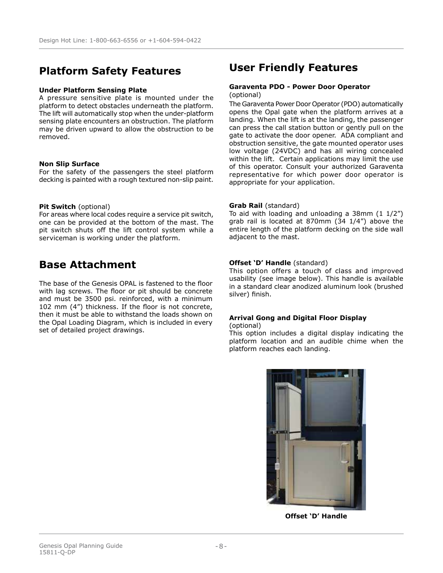## **Platform Safety Features User Friendly Features**

#### **Under Platform Sensing Plate**

A pressure sensitive plate is mounted under the platform to detect obstacles underneath the platform. The lift will automatically stop when the under-platform sensing plate encounters an obstruction. The platform may be driven upward to allow the obstruction to be removed.

#### **Non Slip Surface**

For the safety of the passengers the steel platform decking is painted with a rough textured non-slip paint.

#### **Pit Switch** (optional)

For areas where local codes require a service pit switch, one can be provided at the bottom of the mast. The pit switch shuts off the lift control system while a serviceman is working under the platform.

### **Base Attachment**

The base of the Genesis OPAL is fastened to the floor with lag screws. The floor or pit should be concrete and must be 3500 psi. reinforced, with a minimum 102 mm (4") thickness. If the floor is not concrete, then it must be able to withstand the loads shown on the Opal Loading Diagram, which is included in every set of detailed project drawings.

#### **Garaventa PDO - Power Door Operator**  (optional)

The Garaventa Power Door Operator (PDO) automatically opens the Opal gate when the platform arrives at a landing. When the lift is at the landing, the passenger can press the call station button or gently pull on the gate to activate the door opener. ADA compliant and obstruction sensitive, the gate mounted operator uses low voltage (24VDC) and has all wiring concealed within the lift. Certain applications may limit the use of this operator. Consult your authorized Garaventa representative for which power door operator is appropriate for your application.

#### **Grab Rail** (standard)

To aid with loading and unloading a  $38$ mm  $(1 1/2<sup>n</sup>)$ grab rail is located at 870mm (34 1/4") above the entire length of the platform decking on the side wall adjacent to the mast.

#### **Offset 'D' Handle** (standard)

This option offers a touch of class and improved usability (see image below). This handle is available in a standard clear anodized aluminum look (brushed silver) finish.

### **Arrival Gong and Digital Floor Display**

(optional)

This option includes a digital display indicating the platform location and an audible chime when the platform reaches each landing.



**Offset 'D' Handle**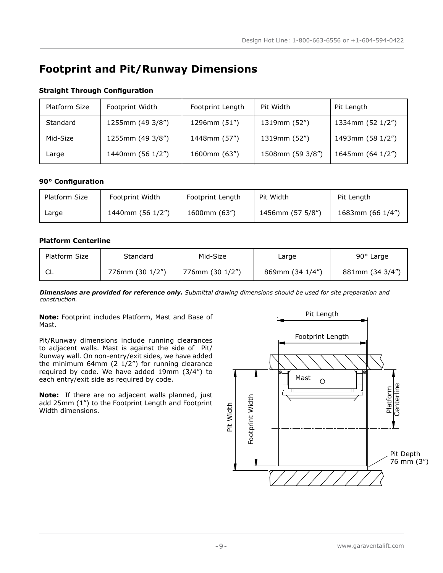## **Footprint and Pit/Runway Dimensions**

| Platform Size | Footprint Width  | Footprint Length | Pit Width        | Pit Length       |
|---------------|------------------|------------------|------------------|------------------|
| Standard      | 1255mm (49 3/8") | 1296mm (51")     | 1319mm (52")     | 1334mm (52 1/2") |
| Mid-Size      | 1255mm (49 3/8") | 1448mm (57")     | 1319mm (52")     | 1493mm (58 1/2") |
| Large         | 1440mm (56 1/2") | 1600mm (63")     | 1508mm (59 3/8") | 1645mm (64 1/2") |

#### **Straight Through Configuration**

#### **90° Configuration**

| Platform Size | <b>Footprint Width</b> | Footprint Length | Pit Width        | Pit Length       |
|---------------|------------------------|------------------|------------------|------------------|
| ∟arqe         | 1440mm (56 1/2")       | 1600mm (63")     | 1456mm (57 5/8") | 1683mm (66 1/4") |

#### **Platform Centerline**

| Platform Size | Standard        | Mid-Size            | Large           | $90^{\circ}$ Large |
|---------------|-----------------|---------------------|-----------------|--------------------|
| 니             | 776mm (30 1/2") | $ 776$ mm (30 1/2") | 869mm (34 1/4") | 881mm (34 3/4")    |

*Dimensions are provided for reference only. Submittal drawing dimensions should be used for site preparation and construction.*

**Note:** Footprint includes Platform, Mast and Base of Mast.

Pit/Runway dimensions include running clearances to adjacent walls. Mast is against the side of Pit/ Runway wall. On non-entry/exit sides, we have added the minimum 64mm (2  $1/2$ ") for running clearance required by code. We have added 19mm (3/4") to each entry/exit side as required by code.

**Note:** If there are no adjacent walls planned, just add 25mm (1") to the Footprint Length and Footprint Width dimensions.

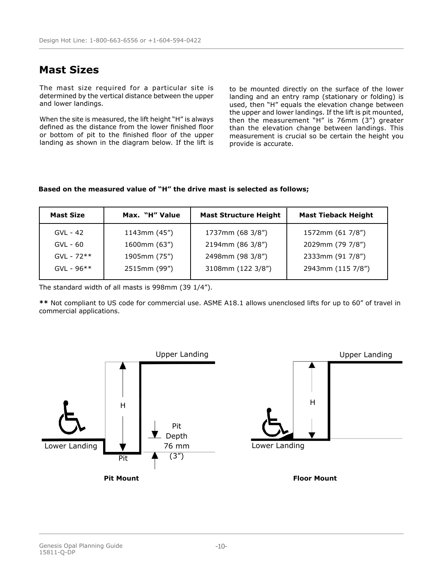### **Mast Sizes**

The mast size required for a particular site is determined by the vertical distance between the upper and lower landings.

When the site is measured, the lift height "H" is always defined as the distance from the lower finished floor or bottom of pit to the finished floor of the upper landing as shown in the diagram below. If the lift is

to be mounted directly on the surface of the lower landing and an entry ramp (stationary or folding) is used, then "H" equals the elevation change between the upper and lower landings. If the lift is pit mounted, then the measurement "H" is 76mm (3") greater than the elevation change between landings. This measurement is crucial so be certain the height you provide is accurate.

#### **Based on the measured value of "H" the drive mast is selected as follows;**

| <b>Mast Size</b> | Max. "H" Value    | <b>Mast Structure Height</b> | <b>Mast Tieback Height</b> |
|------------------|-------------------|------------------------------|----------------------------|
| $GVL - 42$       | $1143$ mm $(45")$ | 1737mm (68 3/8")             | 1572mm (61 7/8")           |
| $GVL - 60$       | $1600$ mm $(63")$ | 2194mm (86 3/8")             | 2029mm (79 7/8")           |
| $GVL - 72**$     | 1905mm (75")      | 2498mm (98 3/8")             | 2333mm (91 7/8")           |
| $GVL - 96**$     | 2515mm (99")      | 3108mm (122 3/8")            | 2943mm (115 7/8")          |

The standard width of all masts is 998mm (39 1/4").

**\*\*** Not compliant to US code for commercial use. ASME A18.1 allows unenclosed lifts for up to 60" of travel in commercial applications.

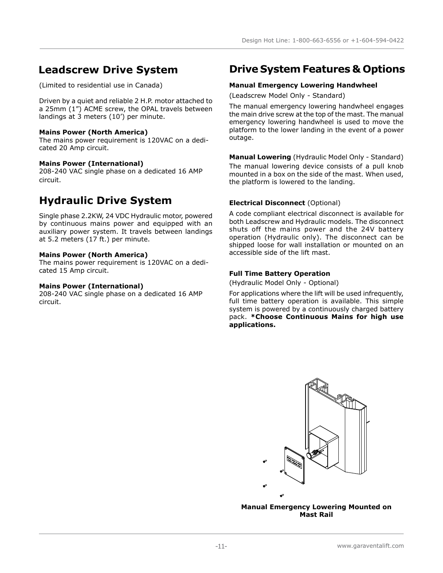(Limited to residential use in Canada)

Driven by a quiet and reliable 2 H.P. motor attached to a 25mm (1") ACME screw, the OPAL travels between landings at 3 meters (10') per minute.

#### **Mains Power (North America)**

The mains power requirement is 120VAC on a dedicated 20 Amp circuit.

#### **Mains Power (International)**

208-240 VAC single phase on a dedicated 16 AMP circuit.

### **Hydraulic Drive System**

Single phase 2.2KW, 24 VDC Hydraulic motor, powered by continuous mains power and equipped with an auxiliary power system. It travels between landings at 5.2 meters (17 ft.) per minute.

#### **Mains Power (North America)**

The mains power requirement is 120VAC on a dedicated 15 Amp circuit.

#### **Mains Power (International)**

208-240 VAC single phase on a dedicated 16 AMP circuit.

### **Leadscrew Drive System Drive System Features & Options**

#### **Manual Emergency Lowering Handwheel**

(Leadscrew Model Only - Standard)

The manual emergency lowering handwheel engages the main drive screw at the top of the mast. The manual emergency lowering handwheel is used to move the platform to the lower landing in the event of a power outage.

**Manual Lowering** (Hydraulic Model Only - Standard) The manual lowering device consists of a pull knob mounted in a box on the side of the mast. When used, the platform is lowered to the landing.

### **Electrical Disconnect** (Optional)

A code compliant electrical disconnect is available for both Leadscrew and Hydraulic models. The disconnect shuts off the mains power and the 24V battery operation (Hydraulic only). The disconnect can be shipped loose for wall installation or mounted on an accessible side of the lift mast.

### **Full Time Battery Operation**

(Hydraulic Model Only - Optional)

For applications where the lift will be used infrequently, full time battery operation is available. This simple system is powered by a continuously charged battery pack. **\*Choose Continuous Mains for high use applications.**



**Manual Emergency Lowering Mounted on Mast Rail**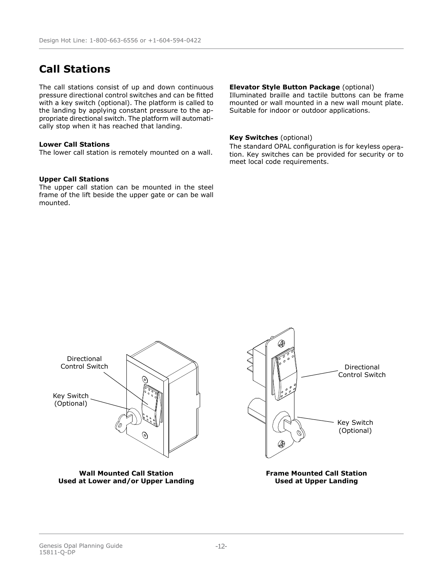### **Call Stations**

The call stations consist of up and down continuous pressure directional control switches and can be fitted with a key switch (optional). The platform is called to the landing by applying constant pressure to the appropriate directional switch. The platform will automatically stop when it has reached that landing.

#### **Lower Call Stations**

The lower call station is remotely mounted on a wall.

#### **Upper Call Stations**

The upper call station can be mounted in the steel frame of the lift beside the upper gate or can be wall mounted.

#### **Elevator Style Button Package** (optional)

Illuminated braille and tactile buttons can be frame mounted or wall mounted in a new wall mount plate. Suitable for indoor or outdoor applications.

#### **Key Switches** (optional)

The standard OPAL configuration is for keyless operation. Key switches can be provided for security or to meet local code requirements.

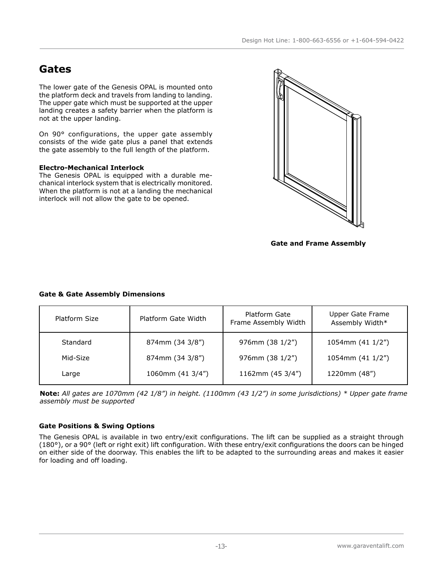### **Gates**

The lower gate of the Genesis OPAL is mounted onto the platform deck and travels from landing to landing. The upper gate which must be supported at the upper landing creates a safety barrier when the platform is not at the upper landing.

On 90° configurations, the upper gate assembly consists of the wide gate plus a panel that extends the gate assembly to the full length of the platform.

#### **Electro-Mechanical Interlock**

The Genesis OPAL is equipped with a durable mechanical interlock system that is electrically monitored. When the platform is not at a landing the mechanical interlock will not allow the gate to be opened.



**Gate and Frame Assembly**

### **Gate & Gate Assembly Dimensions**

| Platform Size | Platform Gate Width | Platform Gate<br>Frame Assembly Width | Upper Gate Frame<br>Assembly Width* |
|---------------|---------------------|---------------------------------------|-------------------------------------|
| Standard      | 874mm (34 3/8")     | 976mm (38 1/2")                       | 1054mm (41 1/2")                    |
| Mid-Size      | 874mm (34 3/8")     | 976mm (38 1/2")                       | 1054mm (41 1/2")                    |
| Large         | 1060mm (41 3/4")    | 1162mm (45 3/4")                      | 1220mm (48")                        |

**Note:** *All gates are 1070mm (42 1/8") in height. (1100mm (43 1/2") in some jurisdictions) \* Upper gate frame assembly must be supported*

### **Gate Positions & Swing Options**

The Genesis OPAL is available in two entry/exit configurations. The lift can be supplied as a straight through (180°), or a 90° (left or right exit) lift configuration. With these entry/exit configurations the doors can be hinged on either side of the doorway. This enables the lift to be adapted to the surrounding areas and makes it easier for loading and off loading.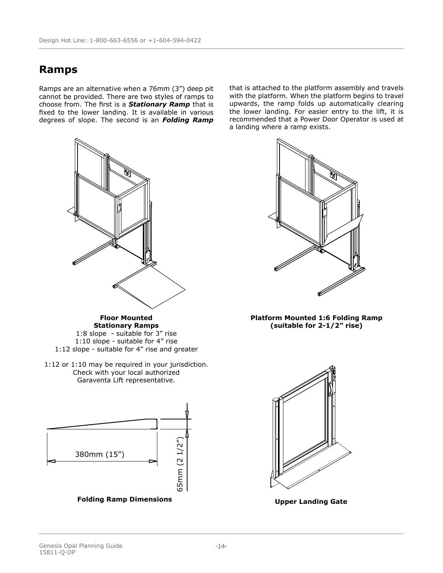### **Ramps**

Ramps are an alternative when a 76mm (3") deep pit cannot be provided. There are two styles of ramps to choose from. The first is a *Stationary Ramp* that is fixed to the lower landing. It is available in various degrees of slope. The second is an *Folding Ramp*



**Floor Mounted Stationary Ramps**

1:8 slope - suitable for 3" rise 1:10 slope - suitable for 4" rise 1:12 slope - suitable for 4" rise and greater

1:12 or 1:10 may be required in your jurisdiction. Check with your local authorized Garaventa Lift representative.



that is attached to the platform assembly and travels with the platform. When the platform begins to travel upwards, the ramp folds up automatically clearing the lower landing. For easier entry to the lift, it is recommended that a Power Door Operator is used at a landing where a ramp exists.



**Platform Mounted 1:6 Folding Ramp (suitable for 2-1/2" rise)**



**Upper Landing Gate**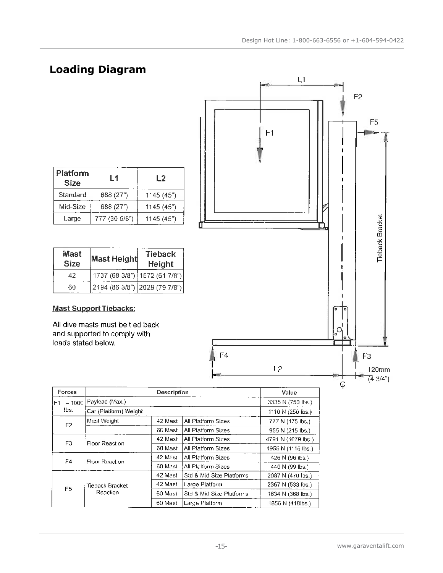## **Loading Diagram**

| Platform<br><b>Size</b> | L 1           | L2        |
|-------------------------|---------------|-----------|
| Standard                | 688 (27")     | 1145(45") |
| Mid-Size                | 688 (27")     | 1145(45") |
| Large                   | 777 (30 5/8") | 1145(45") |

| <b>Mast</b><br><b>Size</b> | <b>Mast Height</b>            | <b>Tieback</b><br>Height |
|----------------------------|-------------------------------|--------------------------|
| 42                         | 1737 (68 3/8") 1572 (61 7/8") |                          |
| 60                         | 2194 (86 3/8") 2029 (79 7/8") |                          |

### **Mast Support Tiebacks:**

All dive masts must be tied back and supported to comply with loads stated below.



| Forces         | Description                             |                       | Value                    |                    |
|----------------|-----------------------------------------|-----------------------|--------------------------|--------------------|
| $= 1000$<br>F1 | Payload (Max.)                          |                       |                          | 3335 N (750 lbs.)  |
| lbs.           |                                         | Car (Platform) Weight |                          |                    |
| F <sub>2</sub> | Mast Weight                             | 42 Mast               | All Platform Sizes       | 777 N (175 lbs.)   |
|                |                                         | 60 Mast               | All Platform Sizes       | 955 N (215 lbs.)   |
| F <sub>3</sub> | Floor Reaction                          | 42 Mast               | All Platform Sizes       | 4791 N (1079 lbs.) |
|                |                                         | 60 Mast               | All Platform Sizes       | 4955 N (1116 lbs.) |
|                | F <sub>4</sub><br><b>Floor Reaction</b> | 42 Mast               | All Platform Sizes       | 426 N (96 ibs.)    |
|                |                                         | 60 Mast               | All Platform Sizes       | 440 N (99 lbs.)    |
|                |                                         | 42 Mast               | Std & Mid Size Platforms | 2087 N (470 lbs.)  |
| F <sub>5</sub> | Tieback Bracket                         | 42 Mast               | Large Platform           | 2367 N (533 lbs.)  |
|                | Reaction                                | 60 Mast               | Std & Mid Size Platforms | 1634 N (368 lbs.)  |
|                |                                         | 60 Mast               | Large Platform           | 1856 N (418lbs.)   |